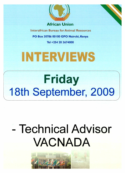

**African Union** 

**Interafrican Bureau for Animal Resources** 

**PO Box 30786 00100 GPO Nairobi, Kenya** 

**Tel +254 20 3674000** 

# **INTERVIEWS**

# **Friday 18th September, 2009**

# **Technical Advisor VACNADA**

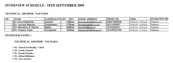# INTERVIEW SCHEDULE - 18TH SEPTEMBER 2009

#### TECHNICAL ADVISOR - VACNADA

| INO | <b>NAME</b>              | NATIONALITY AGE | <b>SEX</b> | EMAIL ADDRESS             | <b>PHONE NO.</b> | <b>TIME</b>                | <b>INTERVIEW MO.</b> |
|-----|--------------------------|-----------------|------------|---------------------------|------------------|----------------------------|----------------------|
|     | 8Dr. Bruce Mukanda       | Zambian         | 52 Male    | brucemukanda@yahoo.com    | 1260977800638    | $12.00$ p.m. - 13.00 p.m.  | Telephone            |
|     | 12 Dr. Leonard Maposa    | Zimbabwean      | 41 Male    | leomaposa@yahoo.co.uk     | 126311808967     | $14.00$ p.m. $-15.00$ p.m. | Telephone            |
|     | 11 Dr. Mamadou N. Racine | Malian          | 50 Male    | racine004@yahoo.fr        | 122320280347     | $15.00$ p.m. $-16.00$ p.m. | 'Telephone           |
|     | 22l Dr. Amadou Diaite    | Senegalese      | 55 Male    | lamadoudiaite@hotmail.com | 1221338322798    | $16.00$ p.m. $-17.00$ p.m. | Telephone            |

#### INTERVIEW PANEL:-

#### TECHNICAL ADVISOR - VACNADA

1 Dr. Ahmed EI-Sawalhy - Chair 2 Mr. Stanley Kenani 3 Dr. Nouala Simplice 4 Dr. Alban Bellinquez 5 Mr. Alex Saelaert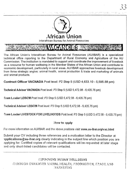

ومن المناسب المستخدمات المناسب المناسب المناسب المناسب المناسب.<br>وفي المناسب المناسب المناسب المناسب المناسب المناسب المناسب المناسب المناسب

The African Union's Interafrican Bureau for Animal Resources (AU/IBAR) is a specialized technical office reporting to the Department of Rural Economy and Agriculture of the AU Commission. The institution is mandated to support and coordinate the improvement of livestock as a resource for human wellbeing in the Member States of the African Union and contribute to economic development, particularly in rural areas. AU/IBAR approaches livestock development from three strategic angles: animal health, animal production & trade and marketing of animals and animal products.

Contract Officer VACNADA Post level: P2 Step 5 (USD 4,633.10 - 5,595.88 pm)

Technical Adviser VACNADA Post level: P3 Step 5 (USD 5,472.98 - 6,435.76 pm)

Team Leader LEISOM Post level: P3 Step 5 (USD 5,472.98 - 6,435.76 pm)

Technical Adviser LEISOM Post level: P3 Step 5 (USD 5,472.98 - 6,435.76 pm)

Feam Leader LIVESTOCK FOR LIVELIHOODS Post level: P3 Step 5 (USD 5,472.98 - 6,435.76 pm)

## How to apply

For more information on AU/IBAR and the above positions visit www.au-ibar.org/vac.html

Submit your CV including three references and a motivation letter to the Director at applications@au-ibar.org clearly indicating in the subject line which position you are applying for. Certified copies of relevant qualifications will be requested at later stage and only short-listed candidates will be contacted.

**IMPROVING HUMAN WELLSEING GEROUGH ENHANCED ANIMAL HEALTH, PRODUCTION, FRADE AND** MARKETING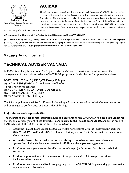

African Union interafrican Bureau for Animal Resources

# **AU/IBAR**

The African Union's Interafrican Bureau for Animal Resources (AU/IBAR) is a specialized technical office reporting to the Department of Rural Economy and Agriculture of the AU Commission. The institution is mandated to support and coordinate the improvement of livestock as a resource for human wellbeing in the Member States of the African Union and contribute to economic development, particularly in rural areas. AU/IBAR approaches livestock development from three strategic angles: animal health, animal production and trade

and marketing of animals and animal products.

#### **VAccines for the Control of Neglected Animal Diseases in Africa (VACNADA)**

The project aims at reducing consequences of the food crisis through improved Livestock health with regard to four neglected diseases, (RVF, CBPP PPR and Newcastle disease) by supplying the related vaccines, and strengthening the production capacity of African laboratories to produce quality vaccines that meet the needs of the continent.

# **Vacancy Announcement**

# **TECHNICAL ADVISER VACNADA**

AU/IBAR is seeking the services of a Project Technical Advisor to provide technical advice on the management of the activities under the VACNADA programme funded by the European Commission.

POST LEVEL: P3 Step 5 (USD 5,472.98-6,435.76 pm) IMMEDIATE SUPERVISOR: Team Leader VACNADA TYPE: Short term contract DEADLINE FOR APPLICATIONS: 7 August 2009 DATE OF ISSUANCE: 7 July 2009 DUTY STATION: Nairobi/Kenya

The initial appointment will be for 12 months including a 3 months probation period. Contract extension will be subject to performance and availability of funding.

#### **Major duties and responsibilities**

The incumbent provides general technical advice and assistance to the VACNADA Project Team Leader for the day to day management of the Project. He/She reports to the Project Team Leader, and to the head of IBAR's Animal Health Unit who is the Project's Coordinator.

- Assist the Project Team Leader to develop working procedures with the implementing partners (GALVmed, PANVAC and CIRAD), relevant veterinary authorities in Africa, and representatives of the private sector.
- Advise the Project Team Leader on matters relating to coordination and harmonisation of approaches of all activities undertaken by AU/IBAR and the implementing partners.
- Provide technical guidance for the effective use of the project's human, financial and technical resources
- Provide support and input in the execution of the project and on follow-up on activities implemented by partners
- Provide technical advice and back-stopping support to the VACNADA implementing partners and all other relevant stakeholders.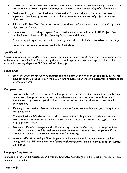- Provide guidance and assist VAC-NAVA implementing partners in participatory approaches for the development of project implementation plans and modalities for monitoring of implementation.
- Participate in regular coordination meetings with all implementing partners to assess progress of implementation, identify constraints and solutions to ensure attainment of project results and objectives.
- Advise the Project Team Leader on project amendments where necessary, to assure that project objectives can be met.
- Prepare reports according to agreed formats and standards and submit to IBAR, Project Team Leader for submission to Project Steering Committee and donors.
- Assist in organizing steering committee meetings and other technical and coordination meetings
- Perform any other duties as assigned by the supervisors.

#### **Qualifications**

Advanced university degree (Master's degree or equivalent) in animal health. A first level university degree with a relevant combination of academic qualifications and experience may be accepted in lieu of the advanced university degree. A PhD is an added advantage.

#### **Experience**

• Seven (7) years proven working experience in the livestock sector or in vaccine production. This experience should include a minimum of 3 years relevant experience in development projects at the international level

#### **Competencies**

- Professionalism Proven expertise in animal production science, policy formulation and advocacy related to animal production and sustainable development; demonstrated in-depth technical knowledge and proven analytical skills on issues related to animal production and sustainable development;
- Planning and organising Proven ability to plan and organise work within a project; ability to make timely decisions;
- Communication Effective written, oral and presentation skills, particularly ability to present information in a concise and accurate manner; ability to develop consensus among people with varying points of view.
- Teamwork: Excellent interpersonal skills and ability to operate effectively across organisational boundaries; ability to establish and maintain effective working relations with people of different national and cultural backgrounds with respect for diversity.
- Judgement/Decision-making Good judgement and initiative, imagination and resourcefulness, energy and tact, ability to ensure an effective work structure to maximise productivity and achieve Unit's goals.

#### **Language Requirement**

Proficiency in one of the African Union's working languages. Knowledge of other working languages would be an added advantage.

#### **Other Skills**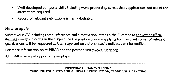- Well-developed computer skills including word processing, spreadsheet applications and use of the Internet are required.
- Record of relevant publications is highly desirable.

#### **How to apply**

Submit your CV including three references and a motivation letter to the Director at applications @auibar, org clearly indicating in the subject line the position you are applying for. Certified copies of relevant qualifications will be requested at later stage and only short-listed candidates will be notified.

For more information on AU/IBAR and the position visit www.au-ibar.org

AU/IBAR is an equal opportunity employer.

#### **IMPROVING HUMAN WELLBEING THROUGH ENHANCED ANIMAL HEALTH, PRODUCTION, TRADE AND MARKETING**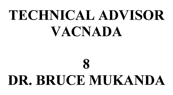# **TECHNICAL ADVISOR VACNADA**

# **8 DR. BRUCE MUKANDA**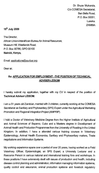Dr. Bruce Mukanda, C/o COMESA Secretariat, Ben Bella Road, P.O. Box 30051, Lusaka. **ZAMBIA** 

## **15th July 2009**

The Director, African Union-Interafrican Bureau for Animal Resources, Museum Hill, Westlands Road, P.O. Box 30786, GPO 00100 **Nairobi, Kenya,** 

Email: applications@au-ibar.org

Dear sir,

# **Re: APPLICATION FOR EMPLOYMENT: -THE POSITION OF TECHNICAL ADVISER-LEISOM**

I hereby submit my application, together with my CV in respect of the position of **Technical Adviser LEISOM.** 

I am a 51 years old Zambian, married with 3 children, currently working at the COMESA Secretariat as Sanitary and Phytosanitary (SPS) Expert under the Agricultural Marketing Promotion and Regional Integration Project (AMPRIP).

I hold a Doctor of Veterinary Medicine Degree from the Higher Institute of Agricultural and Animal Sciences of Bayamo, Cuba and a Masters degree in Development of Animal Health and Production Programmes from the University of Reading in the United Kingdom. In addition, I have a attended various training courses in Veterinary Epidemiology, Animal Health Economics, Sanitary and Phytosanitary matters, Trade negotiations and Information Systems.

My working experience spans over a period of over 20 years, having worked as a Field Veterinary Officer, Epidemiologist, an SPS Expert, a University Lecturer and a Resource Person in various national and international training fora and workshops. In these positions I have extensively dealt with issues of production and health, including disease control planning and administration, information managing information systems, quality control and assurance, animal production systems and livestock regulatory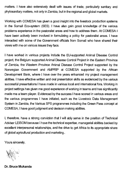matters. **I** have also extensively dealt with issues of trade, particularly sanitary and phytosanitary matters, not only in Zambia, but in the regional and global markets.

Working with COMESA has given a good insight into the livestock production systems in the Somali Eco-system (SES). **I** have also gain good knowledge of the various problems experience in the pastoralist areas and how to address them. At COMESA **I**  have been actively been involved in formulating a policy for pastoralist areas. **I** have interacted with some of the Government officials from Somali who have shared their views with me on various issues they face.

**I** have worked in various projects include the EU-supported Animal Disease Control project, the Belgium supported Animal Disease Control Project in the Eastern Province of Zambia, the Western Province Animal Disease Control Project supported by the Norwegian Government and AMPRIP at COMESA supported by the African Development Bank, where I have over the years enhanced my project management abilities. I have effective written and oral presentation skills as evidenced by the various successful presentations **I** have made in various local and international fora. Working in project settings has given me good experience of working in teams and has significantly made me a team player. Evidenced by the success **I** have scored in various areas and the various programmes **I** have initiated, such as the Livestock Data Management System in Zambia, the Various SPS programmes including the Green Pass concept at COMESA, **I** have good judgment and decision making abilities.

**I,** therefore, have a strong conviction that **I** will ably serve in the position of Technical Adviser LEISOM because **I** have the technical expertise, managerial abilities backed by excellent interpersonal relationships, and the drive to get Africa to its appropriate share of global agricultural production and marketing..

Yours sincerely,

**Dr. Bruce Mukanda**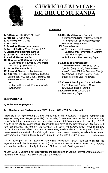

# **CURRICULUM VITAE: DR. BRUCE MUKANDA**

# **I. SUMMARY**

- **1. Full Name:** Dr. Bruce Mukanda
- **2. NRC No:** 141143/71/1
- **3. Passport No:** ZJ 77833
- **4. Sex:** Male
- **5. Smoking Status:** Non smoker
- **6. Date of Birth: 27<sup>th</sup> December, 1957**
- **7. Citizenship at Birth:** Zambian
- **8. Current Citizenship:** Zambian
- **9. Marital Status:** Married
- **10. Number of Children:** Three (Kutemba [13 yrs female], Kaumba [11 yrs male] and Kamba [7 year female])
- **11. Other Dependants: 1**
- **12. Present Place:** Lusaka, Zambia
- **13. Address:** Dr. Bruce Mukanda, COMESA Secretariat, P.O. Box 30051, Lusaka. Tel: 260 97 7800638, 260 211 252199, Email: bmukanda@comesa.int/brucemukanda

pyahoo.com

- **14. Key Qualification:** Doctor in Veterinary Medicine, Master of Science in Development of Animal Production
	- and Health Programmes

#### **15. Specialisation:**

- a) Veterinary Epidemiology, Economics, Jurisprudence, Information Systems and Risk Analysis
- b) Sanitary and Phytosanitary Expert

#### **16. Language Proficiency:**

**International:** English (Excellent), Spanish (Very Good), French (Basic) **Local:** Luvale (Mother Tongue), Nyanja (Very Good), Bemba (Good), Tonga (Moderate) and Lozi (Moderate)

#### **17. Current Employer:** Common Market for Eastern and Southern Africa (COMESA), Lusaka, Zambia

**18. Current Job:** Sanitary and Phytosanitary Expert.

## **IL EXPERIENCE**

#### **a) Full-Time Employment**

## **1. Sanitary and Phytosanitary (SPS) Expert (COMESA Secretariat)**

Responsible for implementing the SPS Component of the Agricultural Marketing Promotion and Regional Integration Project (AMPRIP). In this role, I have also been involved in implementing capacity building programmes such as enhancement of laboratory capacity, training of SPS experts in the region, coordinating SPS activities and advising the Secretariat on SPS matters. I have spearheaded the drafting the COMESA SPS Legal Framework, which includes an SPS certification initiative called the COMESA Green Pass, which is about to be adopted. I have also been involved in monitoring trends in agricultural production and markets, including those related to livestock, in general in the region and, in particular, the effect of SPS measures on such trends.

I have been part of the Economic Partnership Agreement (EPA) Technical team for the negotiations with the European Union (EU). In this role I was involved in researching, drafting and negotiating the texts for Agriculture and SPS for the main Draft agreement.

As COMESA SPS Expert, I have represented the organization in various international fora not only related to SPS matters but also to agriculture in general.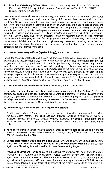**2. Principal Veterinary Officer** (Head, National Livestock Epidemiology and Information Centre [NALEIC]), Ministry of Agriculture and Cooperatives (MACO), P. 0. Box 50197, Lusaka, Zambia, 1996 to Date

I serve as Head, National Livestock Epidemiology and Information Centre, with direct and overall responsibility for disease and production monitoring, information dissemination and control and regulation. Specific duties induded supervision and execution of livestock production and disease monitoring and data collection programmes, livestock production and disease data analysis, and livestock production and disease information dissemination programmes, including production of scientific publications, reports, media programmes and extension materials. I also supervised and executed legislative and regulatory compliance monitoring programmes (including prosecution and legal advice), legislative review processes (including recommendation of legal reforms), parliamentary liaison programmes (including preparation of parliamentary memoranda and parliamentary briefs), and sanitary and phyto-sanitary measures, including inspection and treatment of consignments, risk analysis, approval and certification of export and import consignments and international liaison.

#### **3. Senior Veterinary Officer (Epidemiology),** MACO, 1992 to 1996

I executed livestock production and disease monitoring and data collection programmes, livestock production and disease data analysis, livestock production and disease information dissemination programmes, including production of scientific publications, reports, media programmes, extension materials, etc, and legislative and regulatory compliance monitoring programmes, including prosecution and legal advice. Other duties carried out entailed executing the legislative review processes, including recommendation of legal reforms, parliamentary liaison programmes, including preparation of parliamentary memoranda and parliamentary responses, and sanitary and phyto-sanitary measures, including inspection and treatment of consignments, risk analysis, approval and certification of export and import consignments and international liaison.

#### **4. Provincial Veterinary Officer** (Eastern Province), MACO, 1988 to 1992

I supervised animal disease surveillance and control programmes in the Eastern Province of Zambia, designed and executed measures for countering outbreaks of animal diseases in the province, supervised the general administration of disease control programmes in the province, including personnel and financial matters, represented the Department of Veterinary Services in the provincial government and political administration when necessary.

#### **b) Consultancy, Contract Work and Projects Undertaken**

- 1. Creation and update of Damasyl, an integrated livestock information database which provides for data entry, retrieval and comprehensive analysis, including production of maps, of livestock disease occurrence, disease control, livestock movements, slaughters, meat inspection and livestock populations, used by the veterinary service in Zambia from1996 to date.
- **2. Mission to Cuba** to Install TADInfo software, train epidemiologists on its use and exchange ideas on disease control and disease information management,  $12<sup>th</sup>$  February to 23<sup>rd</sup> February, 2002.Contracted by the FAO.
- 3. Contractor: African Development Bank Group, 2<sup>nd</sup> June to 11<sup>th</sup> July, 2003, Lusaka, Cairo, Tunis: **Zoo and Phytosanitary Consultant for the Preparation Mission** of the COMESA Agricultural Marketing Promotion and Institutional Strengthening Project.

Travelled to Egypt and Tunisia to assist in preparing the COMESA/ADF Agricultural Marketing Promotion and Institutional Strengthening Project. Working closely with the Ministries of Agriculture (veterinary services and Phytosanitary), Ministries of Health (laboratories), private agricultural entrepreneurs, NGOs and relevant international organizations in COMESA member states, took a lead role in the design of all aspects of the project that relate to promoting safe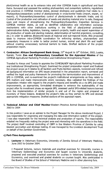plant/animal health so as to enhance intra and inter COMESA trade in agricultural and food items. Surveyed and assessed the existing phytosanitary and zoosanitary systems, regulations and practices in COMESA member states, devised strategies and guidelines that relate to i) Phytosanitary/zoosanitary control of plants/animals in cross-border trade (import, export, reexport); ii) Phytosanitary/zoosanitary control of plants/animals in domestic trade; and iii) Control of the production and cultivation of seeds and planting material prior to sale. Designed ways and means of strengthening the Phytosanitary/Zoosanitary Inspection Services in COMESA member states, as well as identified collaborative and information exchange mechanisms with other institutions working in the field of plant/animal protection (administrative duties, legislation, training, research projects, health and expert supervision of the production of seeds and planting material, determination of harmful organisms, consulting, etc.) in order to address *Biosecurity* issues at regional and sub-regional levels. Also proposed ideas to improve intra-COMESA coordination for enforcing sanitary, phytosanitary and zoosanitary measures in order to better protect human, animal and plant life and health without creating unnecessary technical barriers to trade. Drafted sections of the project preparation report.

**4. Contractor: African Development Bank Group, 25<sup>th</sup> August to 10<sup>th</sup> October, 2003, Lusaka,** Nairobi, Tunis: **Zoo and Pyhtosanitary Consultant for the Appraisal Mission** of the COMESA Agricultural Marketing Promotion and Institutional Strengthening Project.

Traveled to Kenya and Tunisia to appraise the COMESA/ADF Agricultural Marketing Promotion and Institutional Strengthening Project. Examined the project preparation report and finalized the project scope as it relates to all Sanitary and Phyto-Sanitary aspects, reviewed and refined all background information on SPS issues presented in the preparation report, surveyed and verified the legal and policy framework for promoting the harmonization and improvement of SPS in COMESA, and re-examined the project's institutional arrangements as they relate to SPS matters and made improvements where necessary. Also validated the findings of the preparation mission with regard to the project's impacts and benefits vis a vis SPS and made improvements, as appropriate, formulated strategies to enhance the sustainability of the project after its investment phase as regards SPS, assessed useful SPS-related lessons learned from the implementation of similar projects in and out of the region and prepared an inventory of these lessons. Analyzed the project's risks as they pertain to SPS and devised appropriate mitigation measures. Drafted sections of the appraisal report.

**5. Technical Advisor and Chief** Monitor-Western Province Animal Disease Control Project, 2003 to 2004

In this position I save as an advisor to the Project Manager for the above mentioned Project. I was responsible for organizing and managing the data and information system of the project. I was also responsible for the technical analysis and production of reports. The responsibility entailed me frequently visiting the project area and interacting with the operatives in the field. The project itself involved controlling of CBPP in the Western Province of Zambia by using blanket vaccination and strategic testing. It was managed by the Livestock development Trust on behalf of the Zambian Government.

#### **c) Part-Time Assignments**

1. **Lecturer** in Veterinary Economics, University of Zambia School of Veterinary Medicine, June 2002 to October 2004.

I Prepared lectures, lecture materials and practical exercises for University courses in Veterinary Epidemiology and Economics and taught courses to University students, prepared and executed practical exercises for courses in Veterinary Epidemiology and Economics, and examined and graded students on courses taught. Also participated in the Board of Studies of the School of Veterinary Medicine and in other planning fora.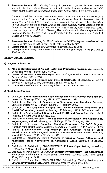**2. Resource Person:** Third Country Training Programmes organised for SADC member states by the University of Zambia in conjunction with other universities in the SADC region and the Japanese International Cooperation Agency (JICA) from 1999 to 2003.

Duties included the preparation and administration of lectures and practical exercises in variuos topics, including Socio-economic Importance of Zoonotic Diseases, Use of Computers in the Control of Zoonoses, Socio-economic Importance of Trans-boundary Animal Diseases, Principles of Risk Analysis for Trans-boundary Animal Diseases, Use of Computers in the Management and Control of Trans-boundary Animal Diseases, Socioeconomic Importance of Poultry Diseases, Use of Computers in the Management and Control of Poultry Diseases, and Use of Computers in the Management and Control of Wildlife and Wildlife Diseases.

- **3. Resource Person:** Training for SPS Experts in the COMESA Region. Spearheaded the training of SPS Experts in the Region on all matters related to SPS.
- **4. Chairperson:** The National SPS Committee in Zambia, 2002 to 2004
- **5. Chairperson:** Steering Committee of the Inter-African Phytosanitary Council (AU-IAPSC), 2006 to 2008

#### **III. KEY QUALIFICATIONS**

#### **a) Long-term Education**

- **1. MSc. in Development of Animal Health and Production Programmes,** University of Reading, United Kingdom, 1991 to 1992.
- **2. Doctor of Veterinary Medicine,** Higher Institute of Agricultural and Animal Sciences of Bayamo, Cuba, 1983 to 1988.
- **3. Cambridge School Certificate and General Certificate of Education,** Hillcrest Secondary Technical School, Livingstone, Zambia 1974 to 1978.
- **4. Grade VII Certificate,** Chinika Primary School, Lusaka, Zambia, 1967 to 1973.

#### **b) Short-term Courses**

- 1. Certificate in **Veterinary Epidemiology and Economics in Livestock Development,**  University of Reading,  $7^{\text{th}}$  October, 1991 to 13<sup>th</sup> December, 1991.
- 2. Certificate in **The Use of Computers in Veterinary and Livestock Services,**  University of Reading,  $13<sup>th</sup>$  January, 1992 to  $14<sup>th</sup>$  February, 1992.
- 3. Certificate in **The Collection, Analysis and Use of Livestock Production and Health Information, University of Reading, 17<sup>th</sup> February, 1992 to 20<sup>th</sup> March, 1992.**
- 4. Certificate in **Systems Simulation in Animal Health and Production,** University of Reading, 27<sup>th</sup> April, 1991 to 29<sup>th</sup> May, 1991.
- 5. Certificate of Attendance, **Animal Health Economics-Principles and Applications,**  Wageningen Agricultural University, Nairobi, Kenya, 8<sup>th</sup> To 13<sup>th</sup> August, 1994.
- 6. Certificate of Attendance, **Induction Training Programme for SADC Organs,**  Mananga Management Centre, Gaborone, Botswana, 21<sup>st</sup> October To 1<sup>st</sup> November, 1996.
- 7. Course in **Epidemiology, Data Handling and Changing Roles of State Veterinarians,** AU/IBAR Regional Centre for Ticks and Tick-borne Diseases, Lilongwe, Malawi,  $8^{th}$  February, 1999 to 21<sup>st</sup> March, 1999.
- 8. Certificate of Participation, Training Workshop on **Uruguay Round Follow-up and Multilateral Trade Negotiations on Agriculture,** Lusaka, Zambia, 8-12 January, 2001
- 9. Certificate of Participation, FAO-EMPRES/SADC **Epidemiology** Training Workshop, Pretoria, South Africa, 26-30 March, 2001.
- 10. Certificate of Participation, USDA/USAID **Sanitary-Phytosanitary Risk Assessment**  Seminar for Southern African Development Community countries, Cape Town, South Africa, 27-31 August, 2001.
- 11. Certificate of Completion, FAO-EMPRES/SADC Epidemiology Training Workshop on **Emergency Preparedness, Arusha, Tanzania, 5<sup>th</sup> to 9<sup>th</sup> November, 2001.**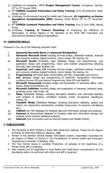- 12. Certificate of completion, AMTA **Project Management Course,** Livingstone, Zambia,  $21<sup>st</sup>$  to 31 $<sup>st</sup>$  August 2006.</sup>
- 13. 1<sup>st</sup> COMESA Livestock Pastoralism and Policy Training, 20 to 28 September 2008, Garisa, Kenya
- 14. Certificate, Eu-Directorate General for Health and Consumer, **EU Legislation on Bovine Spongiform Encephalopathy (BSE),** Gauteng, South Africa, 25<sup>th</sup> to 27<sup>th</sup> November 2008.
- 15. 3<sup>rd</sup> COMESA Livestock Pastoralism and Policy Training, 8 to 12 June 2009, Nairobi, Kenya
- 16. Certificate, **Training of Trainers Workshop** on Improving the Efficiency of Participation of African Nations in the Activities of the WTO SPS Committee and International Standards Setting Organisations.

#### **IV. COMPUTER SKILLS**

Proficient in the use of the following computer tools:

- **i) Advanced Microsoft Word** and **advanced Wordperfect**
- **ii) Advanced Microsoft Excel** including formula design, statistical analysis, financial and economic analysis, logical functions, macro design, file sharing, etc.
- **iii) Microsoft Access** (Including, basic database design and programming, user application design and programming, macro and modular programming including formulas, data exchange facilities, etc
- **iv) SuperCalc and Lotus 123** including formula design, statistical analysis, financial and economic analysis, logical functions, macro design, file sharing, etc.
- **v) Programming** with Quick Basic, Access Basic and SQL, Visual Basic and Avenue
- **vi) GIS** database design and programming of electronic cartographic information including Arcview GIS and Avenue Programming, Atlas GIS and Mapinfo
- **vii) Microsoft Powerpoint** including design and preparation of animated slides, video shows, linked presentations, etc
- **viii) Microsoft Publisher** including design and preparation of placards, business cards, greetings cards, mail merge, etc
- **ix) Stata** (Statistical Package, including descriptive statistics and inferential statistics such analysis of variance, correlation analysis, p-test, chi-squared, significance testing, etc
- **x) TexaSoft Winks** (Statistical Package, including descriptive statistics, graphs and charts, non parametrics comparisons, crosstab, frequencies, chi-squared, simulations, etc.)
- **xi) TADInfo** (an FAO database for livestock data and information storage and analysis)
- **xii) Panacea** (A PanLivestock database for livestock data and information storage and analysis, which includes statistical analysis)
- **xiii) Internet** (Use of browsers such as Internet Explore and Mozilla Firefox)

#### **V. PUBLICATIONS**

- 1. The Dynamics of Seric Proteins in Ewes With Newly-born Siblings, Thesis For the Degree of Doctor of Veterinary Medicine, Bayamo, 1988.
- 2. Review of the Zambian Animal Disease Information System, Dissertation Submitted for the Degree of Master of Science in The Development of Animal Health and Production Programmes, University of Reading, 1992.
- 3. The Two Central Issues in Livestock Production, (A synopsis of the hypothesis of a Private study still in progress).
- 4. Risk Analysis and its Application in Food Safety and Trade-Some considerations for the developing nation (co-authored with others and still in progress)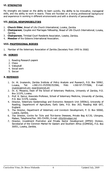#### **VI. STRENGTHS**

My strengths are based on the ability to learn quickly, the ability to be innovative, managerial skills, and the ability to work in teams. These are founded on a strong professional background and experience in working in different environments and with a diversity of personalities.

#### **VII. SOCIAL RESPONSIBILITIES**

- **1. Church Elder,** Bread of Life Church International, Lusaka, Zambia
- **2. Chairperson,** Couples and Marriages Fellowship, Bread of Life Church International, Lusaka, Zambia.
- **3. Chairperson,** Trinidad Court Residents Association, Lusaka, Zambia.
- **4. Member** of the Gideons International Association.

#### **VIII. PROFESSIONAL BODIES**

1. Member of the Veterinary Association of Zambia (Secretary from 1993 to 2000)

#### **IX. HOBIES**

- 1. Reading Research papers
- 2. Chess
- 3. Volleyball
- 4. Social work
- 5. Soccer

#### **X. REFEREES**

- 1. Dr. M. Imakando, Zambia Institute of Policy Analysis and Research, P.O. Box 50062, Lusaka, Tel: +260-211-252559/252566, Mob: +260-97-7777066, E-mail: imak@zamnet.zm; zipar@zamnet.zm
- 2. Dr. A. Mweene, Dean of the School of Veterinary Medicine, University of Zambia, P.O. Box 32379, Lusaka.
- 3. Prof. K. Samui, Associate Professor, School of Veterinary Medicine, University of Zambia, P.O. Box 32379, Lusaka.
- 4. Director, Veterinary Epidemiology and Economics Research Unit (VEERU), University of Reading, Department of Agriculture, Early Gate, P.O. Box 263, Reading RG6 6AT, England.
- 5. The Director, Department of Veterinary and Livestock Development, P. 0. Box 50060, Lusaka, Zambia.
- 6. The Director, Centre for Ticks and Tick-borne Diseases, Private Bag A/130, Lilongwe, Malawi, Telephone/Fax: 265-734781, E-mail: cttbd@malawi.net
- 7. Director, Investment Promotion and Private Sector Development (IPPSD) Division, Secretariat of the Common Market for Eastern and Southern Africa (COMESA), P.O. Box 30051, Lusaka, Zambia.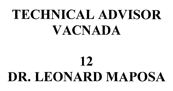# **TECHNICAL ADVISOR VACNADA**

# **12 DR. LEONARD MAPOSA**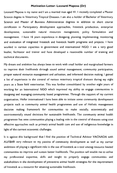#### **Motivation Letter- Leonard Maposa (Dr)**

Leonard Maposa is my name and **I** am a married man aged 41. I recently completed a Master Science degree in Veterinary Tropical Diseases. I am also a holder of Bachelor of Veterinary Science and Master of Business Administration degrees in addition to short course certificates in Participatory development approaches, livestock production, enterprise development, sustainable natural resources management, policy formulation and management. I have 16 years experience in designing, planning, implementing, monitoring and evaluation of integrated livestock and livestock health programs and projects. **I** have worked in various capacities in government and international NGO. I am a very good leader, facilitator and trainer and have developed a reasonable number of training and technical documents.

My dream and ambition has always been to work with small holder and marginalised farmers to improve their livelihoods through sound animal management, community participation, proper natural resource management and utilisation, and informed decision making. I gained a lot of experience in the control of various veterinary tropical diseases during my eight years as a State field veterinarian. This was further consolidated by another eight years of working for an International NGO which improved my ability to engage communities in designing and managing community based programmes. Through the support of my current organisation, Heifer international I have been able to initiate some community development projects such as community animal health programmes and use of Holistic management decision making framework for communities to make socially, economically and environmentally sound decisions for sustainable livelihoods. The community animal health programme has seen communities playing a leading role in the control of diseases using cost effective approaches such as primary animal health care and use of indigenous knowledge in light of the current economic challenges.

It is against this background that I find the position of Technical Advisor VACNADA with AU/IBAR very relevant to my passion of community development as well as my carrier ambitions of playing a significant role in the use of livestock as a tool among resource limited communities to improve and sustain better livelihoods. The position will enable me to utilise my professional expertise, skills and insight to properly engage communities and stakeholders in the development of preventive animal health strategies for the improvement of livestock as a resource for attaining sustainable livelihoods.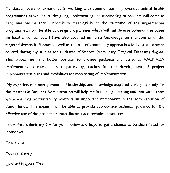My sixteen years of experience in working with communities in preventive animal health programmes as well as in designing, implementing and monitoring of projects will come in hand and ensure that I contribute meaningfully to the outcome of the implemented programmes. I will be able to design programmes which will suit diverse communities based on local circumstances. I have also acquired immerse knowledge on the control of the targeted livestock diseases as well as the use of community approaches in livestock disease control during my studies for a Master of Science (Veterinary Tropical Diseases) degree. This places me in a better position to provide guidance and assist to VACNADA implementing partners in participatory approaches for the development of project implementation plans and modalities for monitoring of implementation.

My experience in management and leadership, and knowledge acquired during my study for the Masters in Business Administration will help me in building a strong and motivated team while ensuring accountability which is an important component in the administration of donor funds. This means I will be able to provide appropriate technical guidance for the effective use of the project's human, financial and technical resources.

I therefore submit my CV for your review and hope to get a chance to be short listed for interviews.

Thank you

Yours sincerely

Leonard Maposa (Dr)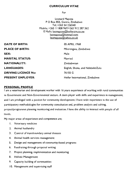#### **CURRICULUM VITAE**

For

Leonard Maposa P 0 Box 855, Gweru, Zimbabwe Tel; +263 54 226540 Mobile; +263 II 808 967/+263 912 287 362 E Mails; leomaposa@heiferzim.co.zw leomaposa@hotmail.com leomaposa©yahoo.co.uk

| DATE OF BIRTH:             | 05 APRIL 1968                    |
|----------------------------|----------------------------------|
| <b>PLACE OF BIRTH:</b>     | Mberengwa, Zimbabwe              |
| SEX:                       | Male                             |
| <b>MARITAL STATUS:</b>     | Married                          |
| <b>NATIONALITY:</b>        | Zimbabwean                       |
| <b>LANGUAGES:</b>          | English, Shona, and Ndebele/Zulu |
| <b>DRIVING LICENCE No:</b> | 76155 G                          |
| <b>PRESENT EMPLOYER:</b>   | Heifer International, Zimbabwe   |

#### **PERSONAL PROFILE**

I am a veterinarian and development worker with 16 years experience of working with rural communities in Government and Non-Governmental sectors. A team player with skills and experience in management, and I am privileged with a passion for community development. I have wide experience in the use of participatory methodologies for community consultation and, problem analysis and solving, project/programme planning monitoring and evaluation. I have the ability to interact with people of all levels.

My major areas of experience and competence are;

- I. Veterinary medicine
- 2. Animal husbandry
- 3. Control of transboundary animal diseases
- 4. Animal health services management
- 5. Design and management of community-based programs
- 6. Fundraising through proposal writing
- 7. Project planning, implementation and monitoring
- 8. Holistic Management
- 9. Capacity building of communities
- 10. Management and supervising staff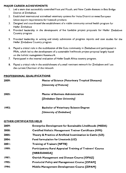#### **MAJOR CAREER ACHIEVEMENTS**

- I. Led a team that successfully controlled Foot and Mouth, and New Castle diseases in Beit Bridge District of Zimbabwe.
- 2. Established international accredited veterinary systems for Insiza District to meet European Union export requirements for livestock products
- 3. Designed and coordinated the establishment of a viable community animal health program for Heifer Zimbabwe
- 4. Provided leadership in the development of five fundable project proposals for Heifer Zimbabwe Country program
- 5. Provided leadership in writing and timely submission of progress reports and case studies for the Heifer Zimbabwe Country program
- 6. Played a critical role in the mobilization of the Gutu community in Zimbabwe and participated in PRAs, which led to the development of a sustainable livelihoods project proposal largely based on the holistic management framework.
- 7. Participated in the internal evaluation of Heifer South Africa country program.
- 8. Played a critical role in the establishment of a small ruminant network for Zimbabwe and I am the current Chairman of the network

#### **PROFESSIONAL QUALIFICATIONS**

| 2009: | Master of Science (Veterinary Tropical Diseases) |  |
|-------|--------------------------------------------------|--|
|       | [University of Pretoria]                         |  |
| 2005: | <b>Master of Business Administration</b>         |  |
|       | [Zimbabwe Open University]                       |  |
| 1992: | <b>Bachelor of Veterinary Science Degree</b>     |  |
|       | [University of Zimbabwe]                         |  |

#### **OTHER CIRTIFICATES HELD**

| 2009: | <b>Enterprise Development for Sustainable Livelihoods (MEDA)</b> |
|-------|------------------------------------------------------------------|
| 2008: | Certified Holistic Management Trainer Certificate (HMI)          |
| 2005: | Theory & Practice of Artificial Insemination in Cattle (UZ)      |
| 2004: | Feed formulation for Livestock (UZ)                              |
| 2001: | <b>Training of Trainers [NFTB]</b>                               |
| 1999: | Participatory Rural Appraisal Training of Trainers' Course       |
|       | [NRB/DANIDA]                                                     |
| 1997: | <b>Ostrich Management and Disease Course [OPAZ]</b>              |
| 1995: | <b>Provincial Policy and Management Course [ZIPAM]</b>           |
| 1994: | Middle Management Development Course [ZIPAM]                     |
|       |                                                                  |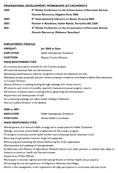#### **PROFESSIONAL DEVELOPMENT WORKSHOPS /ATTACHMENTS**

| 2005  | 6th Global Conference on the Conservation of Domestic Animal    |
|-------|-----------------------------------------------------------------|
|       | <b>Genetic Resources, Magalies Park, RSA</b>                    |
| 2004  | 8 <sup>th</sup> International Conference on Goats, Pretoria RSA |
| 2003  | Partner in Residence, Heifer Ranch, Perryville AR, USA          |
| 200 I | 4th Global Conference on the Conservation of Domestic Animal    |
|       | Genetic Resources, Mbabane, Swaziland.                          |

#### **EMPLOYMENT PROFILE**

| <b>PRESENT:</b>  | Jan 2008 to Date               |
|------------------|--------------------------------|
| <b>EMPLOYER:</b> | Heifer International, Zimbabwe |
| <b>POSITION:</b> | Deputy Country Director        |

#### **MAIN RESPONSIBILITIES**

•Coordinate all program activities for the Country program

- •Provide link between field and administration
- •Reviewing implementation plans for programs to ensure set objectives are met.

•Develops project proposals and also reviews proposals written by coordinators before final submission to Country Director.

- •Assists Director in seeking funding through meetings with certain donors.
- •Production and review of monthly, quarterly, biannual and annual progress reports
- •Production of annual report covering both programming and administration
- 'Supervision and development of staff
- •Coordinating meetings and other events relating to fieldwork.
- •Act as Country Director in his absence

#### **2000 to 2007**

| <b>EMPLOYER:</b> | Heifer International, Zimbabwe |
|------------------|--------------------------------|
|                  |                                |

#### **POSITION:**  Animal Health Coordinator

#### **MAIN RESPONSIBILITIES:**

- •Development of an Animal Health strategy and bi annual plans for Heifer Zimbabwe
- •Design community animal health programmes for the country program
- •Training of community animal health workers and conducting clinical veterinary work.
- •Sourcing of appropriate livestock, drugs and equipment
- •Monitoring and evaluating the animal health program of the organization
- •Development and updating of training manuals
- •Collaborate with Ministry of Agriculture, Research Stations and other partners in matters that relate to livestock production, health and the environment.
- •Supervision of Field Officers
- •Participate in national, regional and international forums on Animal Health and production.
- •Promoting the use and application of Indigenous Veterinary knowledge.
- •Assist in the management of the organization through participation in committees and task forces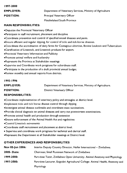| 1997-2000        |                                                            |
|------------------|------------------------------------------------------------|
| <b>EMPLOYER:</b> | Department of Veterinary Services, Ministry of Agriculture |
| <b>POSITION:</b> | Principal Veterinary Officer                               |
|                  | Matabeleland South Province                                |

#### **MAIN RESPONSIBILITIES:**

- •Deputize the Provincial Veterinary Officer
- •Participate in staff recruitment, placement and discipline
- •Coordinate prevention and control of specified animal diseases and pests.
- •Ensure efficient and regular dipping, for control of ticks and tick-borne diseases.
- •Coordinate the accreditation of dairy farms for Contagious abortion, Bovine Leukosis and Tuberculosis
- •Certification of Livestock, and Livestock products for export.
- •Provincial Veterinary Information and Publicity
- •Promote animal welfare and husbandry
- •Represent the Province at Stakeholder meetings
- •Supervise and Coordinate work programs for subordinate staff.
- •Participate in the production of a draft provincial annual budget.
- •Review monthly and annual reports from districts.

#### **1993-1996**

| <b>EMPLOYER:</b> | Department of Veterinary Services, Ministry of Agriculture. |
|------------------|-------------------------------------------------------------|
|                  |                                                             |

**POSITION:** District Veterinary Officer

#### **RESPONSIBILITIES:**

- •Coordinate implementation of veterinary policy and strategies at district level.
- •Implement ticks and tick borne disease control through dipping.
- •Investigate animal disease outbreaks and coordinate mass vaccinations.
- •Provide clinical diagnosis on animal diseases and carry out postmortem examinations.
- •Promote animal health and production through extension
- •Ensure enforcement of the Animal Health Act and regulations
- •Control Livestock movements
- •Coordinate staff recruitment and placement at district level.
- Supervise and coordinate work programs for technical and clerical staff.
- •Represent the Department at all Stakeholder meetings at District level.

#### **OTHER EXPERIENCES AND RESPONSIBILITIES**

| Nov 05-jun 2006:   | Interim Deputy Country Director, Heifer International - Zimbabwe.             |
|--------------------|-------------------------------------------------------------------------------|
| <b>2005- Date:</b> | Chairman; Small Ruminant Network of Zimbabwe                                  |
| 1999-2000:         | Part-time Tutor, Zimbabwe Open University- Animal Anatomy and Physiology      |
| 1997-2000:         | Part-time Lecturer, Esigodini Agricultural College-Animal Health, Anatomy and |
|                    | Physiology                                                                    |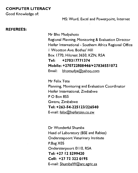#### **COMPUTER LITERACY**

Good Knowledge of:

MS: Word, Excel and Powerpoint, Internet

#### **REFEREES:**

Mr Bho Mudyahoto Regional Planning, Monitoring & Evaluation Director Heifer International - Southern Africa Regional Office I Wootton Ave. Bothas' Hill Box 1770, Hilcrest 3650, KZN, RSA **Tel: +270317771374 Mobile: +2707228084461+27836551072**  Email: bhomudya@yahoo.com

Mr Felix Tete Planning, Monitoring and Evaluation Coordinator Heifer International, Zimbabwe P 0 Box 855 Gweru, Zimbabwe **Tel: +263-54-225123/226540**  E-mail: felix@heiferzim.co.zw

Dr Wonderful Shumba Head of Laboratory (BSE and Rabies) Onderstepoort Veterinary Institute P.Bag X05 Ondersterpoort 0110, RSA **Tel: +27 12 5299420 Cell: +27 72 322 0195**  E-mail: ShumbaW(@\_arc.agric.za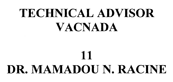# **TECHNICAL ADVISOR VACNADA**

# **DR. MAMADOU N. RACINE**

**11**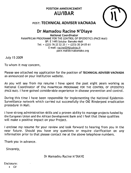# **POSITION ANNOUNCEMENT AU/lBAR**



# POST: **TECHNICAL ADVISER VACNADA**

# **Dr Mamadou Racine N'Diaye**

**National Coordinator**  PANAFRICAN PROGRAMME FOR THE CONTROL OF EPIZOOTICS (PACE-Mali) BP: E 1495 Sotuba- Bamako-Mali Tel: + (223) 76 22 22 25 / + (223) 20 24 05 61 E-mail: racine004@vahoo.fr pace.mali@crsabamako.org

July 15 2009

To whom it may concern,

Please see attached my application for the position of **TECHNICAL ADVISER VACNADA**  as announced on your institution website.

As you will see from my resume I have spent the past eight years working as National Coordinator of the PANAFRICAN PROGRAMME FOR THE CONTROL OF EPIZOOTICS (PACE-Mali). I have gained considerable experience in disease prevention and control.

During this time I have been responsible for implementing the National Epidemio-Surveillance network which carried out successfully the OIE Rinderpest eradication procedure in Mali.

I have strong administration skills and a proven ability to manage projects funded by the European Union and the African Development Bank and **I** feel that these qualities will make a positive impact on your Project.

I enclose my resume for your review and look forward to hearing from you in the near future. Should you have any questions or require clarification on any information prior to that please contact me at the above telephone numbers.

Thank you in advance.

Sincerely,

Dr Mamadou Racine N'DIAYE

#### Enclosure:

 $\mathsf{C} \mathsf{V}$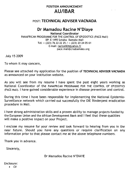# **POSITION ANNOUNCEMENT AU/IBAR**

## POST: **TECHNICAL ADVISER VACNADA**

# **Dr Mamadou Racine N'Diaye**

**National Coordinator**  PANAFRICAN PROGRAMME FOR THE CONTROL OF EPIZOOTICS (PACE-Mali) BP: E 1495 Sotuba- Bamako-Mali Tel: + (223) 76 22 22 25 / + (223) 20 24 05 61 E-mail: racine004@vahoo.fr pace.mali@crsabamako.org

July 15 2009

To whom it may concern,

Please see attached my application for the position of **TECHNICAL ADVISER VACNADA**  as announced on your institution website.

As you will see from my resume I have spent the past eight years working as National Coordinator of the PANAFRICAN PROGRAMME FOR THE CONTROL OF EPIZOOTICS (PACE-Mali). I have gained considerable experience in disease prevention and control.

During this time I have been responsible for implementing the National Epidemio-Surveillance network which carried out successfully the OIE Rinderpest eradication procedure in Mali.

I have strong administration skills and a proven ability to manage projects funded by the European Union and the African Development Bank and I feel that these qualities wilt make a positive impact on your Project.

I enclose my resume for your review and look forward to hearing from you in the near future. Should you have any questions or require clarification on any information prior to that please contact me at the above telephone numbers.

Thank you in advance.

Sincerely,

Dr Mamadou Racine N'DIAYE

Enclosure:

• CV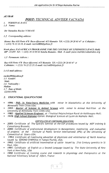A U/IBAR

# POST: *TECHNICAL ADVISER VACNADA*

- **PERSONAL DATA**
- *1.1 Name:*

*Dr Mamadou Racine AV'MAYE* 

*1.2 Corresponding address:* 

*Home: Rue 618 Porte 478 Baco-dlicoroni AO-Bamako Tel :+(223) 20 28 03 47 et Cellulaire : + (223) 76 22 22 25.* E-mail: racine004@yahoo.fr

*Work place: PA ATAFRICA N PROGRAMME FOR THE CONTOLE OF EPIZOOTIC'S (PACE-Mali) BP*: *E1495 Tel: +(223) 20 24 05 61 Sotuba Bamako-Mali. E-mail:* pace.mali@crsabamako.org

*1.3 Permanent.Address :* 

*Rue 618 Porte 478 Baco-djicoroni ACI-Bamako Tel :+(223) 20 28 03 47 et Celhdaire : + (223) 76 22 22 25.* E-mail: racine004@yahoo.fr

*1.4 E-mail address:* 

*racine004@yahoo.fr 1.5 Gender: Mule 1.6 Nationality : Malian 1.7 Date of Birth: (22/01/1959)* 

- 2. EDUCATIONAL QUALIFICATIONS
- 1996: PhD. in Veterinary Medicine with minor in biostatistics at the University of Minnesota Twin Cities-USA;
- 1993: Master of Science in Animal Science with minor in Animal Nutrition at the University of Minnesota Twin Cities-USA;
- 1982 : Applied Sciences Engineer *at l'Institut Palytechnique Rural* de Katibougou-Mali;
- 1978: High School Diploma Option: Biological Sciences at Lycee de Markala- Mali.

#### CERTIFICATES OF CONTINUING EDUCATION:

- 2005: Certificate of The Specific Seminar on the EDF procedures issued by MDF training & Consultancy Brussels;
- 2000: Certificate of professional development in Management, monitoring and evaluation Institute of Public Service International (IPSI) of the University of Connecticut at Storrs-USA;
- 1993: Certificate of Continuing education of physicians and veterinarian of North America issued by SERONO SYMPOSIA in Tampa Florida, USA;
- 1992: Certificate of artificial insemination of cattle issued by 21st Century genetics in St Paul, USA;
- 1991: Certificate of English as a Second Language issued by The State University of New York at New Paltz, USA
- 1990 Certificate of training course and research in physiology and therapeutics at the National Veterinary School of Alfort, France

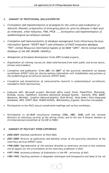#### 3. SUMMARY OF PROFESSIONAL SKILLS/EXPERTISE

- Formulation and implementation of strategies for the control and eradication of epizootic diseases; preparation of emergency plans for priority diseases in Mali such as rinderpest, avian influenza, FMD, PPCB ..., formulation and implementation of epidemiological surveillance network.
- Conception and implementation of database management tools (Veterinary Services Information System "SISVET-Mali") and utilization of PACE Integrated database "PID"; Animal Resources Information System of AU-(BAR "ARIS", World Animal health Database of the OIE (WAHID /WAHIS));
- Management of European Development Funds (EDF) funded projects;
- Organization of training courses for field veterinarians from both public and privet sector, farmers and breeders;
- Conception and publication "from 2001 till 2009" of the quarterly newsletter on disease surveillance (EP1VET-Info) for sharing sanitary information with stakeholders and partners of the epidemiological surveillance network (EPIVET-Mali);
- Conception and dissemination of communication material in epidemiological surveillance, intended to field veterinarians;
- Computer skill: Microsoft project; Microsoft office (word, Excel, PowerPoint, Photoshop, Outlook, access, Publisher); Statistics (Statistical Analysis System, Statistix, SPSS, BMDP, Macanova, Minitab); Graphics (Harvard graphics, Slide Write); Data bases ( Pace Integrated Databases, ARIS, SISVET-Mali, WAHID-WAHIS); Biochemistry (Ligand); Nutrition (Accufeed);
- Participation to the PACE annual coordination meetings and various workshops;
- Participation to AU-/BAR consultative meetings (2006, 2007, 2008) with the national Directors of veterinary services of the African Union; and to the last 9 General Sessions of the International Committee of the OlE in PARIS.

#### 4. SUMMARY OF RELEVANT WORK EXPERIENCE

- 2000-2009: National coordinator of PACE-Mali;
- 2001-2009: Director of publication and editorial writer of the quarterly newsletter of the veterinary services (EPIVET-info);
- 1998-2000: Representative of the national direction of veterinary services at the technical cell of support for the privatization of the veterinary profession in Mali;
- 1997-1998: Assistant professor of biostatistics at the 1PR university of Mali;
- 1985-1990: Teaching assistant in diagnostic techniques and therapeutics and head of the vet

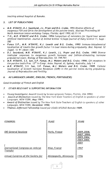teaching animal hospital of Bamako.

#### 5. LIST **OF PUBLICATIONS**

- **M.R. N'DIAYE, D.J. Swanlund, J.L. Pryor and B.G. Crabo.** 1993 Diverse effects of exogenous FSH and GH in the development of the porcine testis. Abstract Proceeding XII North American testes workshop Tampa, Florida; April 1993; 63:11-14
- **T.H., M.R. N'DIAYE and B.G. Crabo, 1994** Comparison of extenders for liquid boar semen artificial insemination. Journal of Animal Science 12,Supp-journal of Dairy Science 11, Supp - 280
- **Fanua S.P., M.R. N'DIAYE, K.J. Loseth and B.G. Crabo, 1995** lmmuno-histochemical localization of insulin-like growth factor I in boar testes during prepuberty. Biol. Reprod. 52 (Suppl. 1): 91 (Abstr.138)
- **D.J, Swanlund, M.R. N'DIAYE, K.J. Loseth, J.L. Pryor and B.G. Crabo. 1995** Diverse testicular responses to exogenous growth hormone and follicle-stimulating hormone prepubertal boars. Biology of Reproduction. 53: 749-757.
- **M.R. N'DIAYE, S.S. Sun, S.P. Fanua, M.J. Waters and B.G.** Crabo. **1996.** GH receptors in the porcine testis Proc.  $13^{th}$  in Congr. Anim. Reprod. Al, Sydney, Australia, July 1-4
- **M.R. N'DIAYE, S.S. Sun, S.P. Fanua, M.J. Waters and B.G. Crabo. 1999.** Cellular localization of Growth hormone Receptors (GHR) in the porcine testes during prepuberty. Journal of Reproduction and Fertility

#### **6. AU LANGUAGES (ARABIC, ENGLISH, FRENCH, PORTUGUESE)**

Good knowledge of French and English

#### **7. OTHER RELEVANT & SUPPORTING INFORMATION**

- Young Investigator Award issued by Serono symposia Tampa, Florida, USA **1993;**
- Award of Distinction issued by The New York State Teachers of English to speakers of other Languages, NEW-YORK; **May 1991;**
- **Award of Distinction** issued by The New York State Teachers of English to speakers of other Languages, NEW-YORK; **December 1990;**
- **Thomas Jefferson Fellowship** issued par USAID/AFGRAD Bamako **1989.**

| <b>CONGRESS:</b>                            | PLACE                  | <b>YEARS</b>                                                  |
|---------------------------------------------|------------------------|---------------------------------------------------------------|
| <b>OIE</b> General Sessions                 | Paris, France          | 2009,2008,<br>2007, 2006,<br>2005,2004,<br>2003,2002,<br>2001 |
| nternational Congress on embryo<br>Transfer | Nice, France           | 1997                                                          |
| Annual Congress of the Society for          | Minneapolis, Minnesota | 1996                                                          |

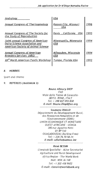Andrology

Annual Congress of Theriogenology

Annual Congress of The Society for the Study of Reproduction

Joint annual Congress of American Dairy Science Association and American Society of Animal Science

Annual Congress of American Breeders Services (ABS) XlI° North American Testis Workshop

USA

| <u>Kansas City, Missouri</u><br>USA | 1996 |
|-------------------------------------|------|
| <u> Davis , California USA</u>      | 1995 |
| Minneapolis, Minnesota<br>∙USA      | 1994 |
| Milwaukee, Wisconsin<br>USA         | 1994 |
| Tampa, Florida USA                  | 1993 |

I

#### B. HOBBIES

Sport and cinema

#### 9. REFEREES (MAXIMUM 3)

Bouna Alboury DIOP FAO Viale delle Terme di Caracalla-00153- ROME, ITALY Tel: + 390 657 055 838 E-mail: Bouna.Diop@fao.org

Soumana DIALLO Département du Développement Rural, des Ressources Naturelles et de l'Environnement (DDRE) UNION ECONOMIQUE ET MONETAIRE QUEST-AFRICAINE - UEMOA 380 rue Agostino Neto 01 BP 543 OUAGADOUGOU (Burkina-Faso) Tel: + 226 76 70 58 24 E-mail: sdiallo@uemoa.int ----------------------------------

#### René BESSIN

Livestock Specialist - ALive Secretariat Agriculture and Rural Development Africa Region - The World Bank Mail: MSN *J6-168*  Tel: +1 202 458 9602 E-mail: rbessin@worldbank.org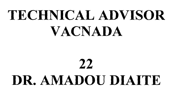# **TECHNICAL ADVISOR VACNADA**

# **22 DR. AMADOU DIAITE**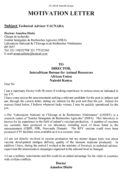*AU-IBAR Nairobi Kenya* 

# **MOTIVATION LETTER**

# **Subject Technical Adviser VACNADA**

#### **Docteur Amadou Diaite**

Chargé de recherche Institut Sénégalais de Recherches Agricoles (ISRA) Laboratoire National de l'Elevage et de Recherches Vétérinaires BP 2057 Tel: 221 338322798/ 221 775322362 E-mail amadoudiaite@hotmail.com

## **TO**

## **DIRECTOR, Interafrican Bureau for Animal Resources African Union Nairobi Kenya.**

Dear Sir

I am a veterinary Doctor with 28 years of working experience in various areas as indicated in my CV.

I have come across the announcement seeking a relevant candidate for the post in subject and am, through the current letter, stating my interest for the post and thus the job. Indeed for reasons listed below, I believe whenever lucky winner, I may be quickly operational for the job.

1-The "Laboratoire National de l'Elevage et de Recherches Veterinaires" (LNERV) is a research centre of "Institut Sénégalais de Recherches Agricoles" (ISRA). This laboratory is known for its experience in the field of animal's vaccines production. A number of vaccines are currently been produced in our laboratory including most of those listed in the announcement (CBPP, PPR, Newcastle Disease). The RFV vaccine could even been produced if P3 facilities were available as it is a zoonotic virus.

2-I am not directly involved in vaccine production but my master degree topic was about vaccine development (antigen delivery, quality of the immune response produced). In addition I have, during the period I worked at the ministry of livestock as technical advisor, supervised the immunisation campaigns organised at the national level in Senegal.

3-I am a military veterinarian and this could be an added advantage for the visits in countries with civilian conflicts.

# **Doctor Amadou Diaite**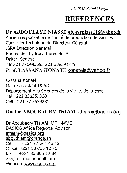*AU-IBAR Nairobi Kenya* 

# **REFERENCES**

## Dr ABDOULAYE NIASSE ablayeniassllyahoo.fr

Ancien responsable de l'unité de production de vaccins Conseiller technique du Directeur Général **ISRA Direction Général** Routes des hydrocarbures Bel Air Dakar Sénégal Tel 221 776445693 221 338591719 Prof. LASSANA KONATE konatela@yahoo.fr

Lassana Konate Maitre assistant UCAD Département des Sciences de la vie et de la terre Tel : 221 338357330 Cell : 221 77 5539281

#### Doctor ABOUBACRY THIAM athiam@basics.orq

Dr Aboubacry THIAM, MPH-MMC BASICS Africa Regional Advisor, athiam@basics.org<br>abouthiam@orange.sn Cell : + 221 77 644 42 12 Office: +221 33 865 12 75 fax : +221 33 865 12 84 Skype: maimounathiam Website: www.basics.orq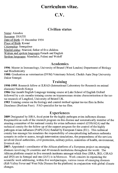# **Curriculum vitae.**

# C.V.

## Civilian status

Name: Amadou Surname: DIAITE Date of Birth: 31 December 1954 Place of Birth: Kaoné Citizenship: Senegalese Marital status: Married, father of five children Written and spoken languages French and English Spoken languages: Mandinka, Fulani and Woloff

## Academics

**1996:** Master in Immunology; University of Brunel (West London) Department of Biology and Biochemistry

**1980:** Graduation as veterinarian (DVM) Veterinary School, Cheikh Anta Diop University Dakar Senegal.

## Training

**1990-1995:** Research fellow at ILRAD (International Laboratory for Research on animal diseases) Nairobi Kenya

**1986** One month English Language training course at Lake School of English Oxford followed by a six months training course on trypanosomes strains characterisation at the tsetse research of Langford, University of Bristol UK.

**1983** Training course on the biology and control method against tse-tse flies in Bobo Dioulasso (Burkina Faso). FAO specialist for tse-tse flies.

## Experiences

**2009** Designated by ISRA, focal point for the highly pathogen avian influenza disease. Responsible as such of the research program on this disease and automatically member of the steering committee of the national comity for avian influenza control (CONAGA) and the technical comity for the follow up of the support program for the control of the highly pathogen avian influenza (PAPLUGA) funded by European Union (EU). This technical comity has amongst his mandates the responsibility of conceptualizing influenza outbreaks scenario in order to assess, trough intervention simulations, the preparedness of the services involved (local authorities, civil protection, military police, ministries of health, environment, livestock etc).

**2007:** Appointed r coordinator of the African platform of a European project on emerging diseases involving 24 countries and 49 research institutions throughout the world. The African platform consist in five research institutes amongst which four (ISRA, IRD, CIRAD and IPD) are in Senegal and one (IAV) is in Morocco. Work consists in organizing the scientific work addressing, within five workpackages, various issues of emerging diseases (Rift Valley Fever and West Nile Disease for the platform) in conjunction with global climate changes.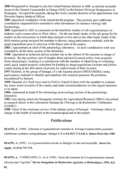**2005** Designated by Senegal to join the United Nations Mission in DRC as advisor on health issues to the General Commander in Charge (GOC) at the Eastern Division Headquarters in Kisangani. Occupied the position, during the twelve months duration of the appointment, was Division Deputy Medical Officer.

**2003** Appointed coordinator of the animal health program. This position gave additional coordination responsibilities extended to other laboratories for instance virology and bacteriology.

**2002** Appointed by GEF as consultant on the feasibility studies of sub regional project on endemic cattle conservation in West Africa. On the one hand, leader of the sub group for the studies on the ecosystems in which these animals evolve and on the other hand, leader of the field mission group assigned the mandate to discuss, using participatory methods, with the target populations prior to selection of the future sites of the project.

**2001:** Appointment as chief of the parasitology laboratory. As such coordination work was extended to all the three section of the laboratory.

**1998:** Appointed as technical advisor number one in the cabinet of the minister in charge of livestock. By this position, lots of insights about national livestock policy were acquired. More interestingly, working in a commission with the mandate of identifying or evaluating small quick impact projects, submitted for funding by target populations (women and jobless youth) aiming at the alleviation of poverty by improvement of their incomes.

**1997** Member, in the group of Senegal, of a sub regional project (PROCORDEL) using participatory methods to identify and transform into research questions the problems encountered by farmers.

**1990:** Member of a Task force sent by FAO to Tripoli (Libya) with the mandate to evaluate the screw worm invasion of the country and make recommendations on first urgent measures to be taken.

**1984:** Appointed as head of the entomology protozoology section of the parasitology laboratory.

**1983** Year during which the Senegalese Institute for Agricultural Research (ISRA) was joined as research fellow at the Laboratoire National de l'Elevage et de Recherches Veterinaires (LNERV).

**1980:** Chief of the veterinary service of the military police of Senegal. Veterinary officer in charge of the health of animals in the mounted squad and in the kennel.

# **Publications**

DIAITE, A. (1989). Glossines et trypanosomoses animales in: Elevage et potentialites pastorales sahéliennes synthèses cartographiques- Sénégal C.T.A-I.E.M.V.T-I.S.R.A. Dakar/Paris Déc.1989

DIAITE, A. (1991). La trypanosomiase animale au Sénégal: la lutte antivectorielle. Insect Sci. Appli., 12 (5-6) 713-715.

DIAITE, A., VASSILIADES, G., et al. (1992). Essais de traitement de la trypanosomiase animale africaine par l'Agridine<sup>m</sup> Revue Senegalaise de Recherches Agricoles et Halieutiques, 1992, 4(1) 85.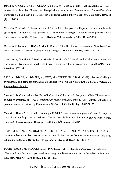**DIAITE, A.** GUEYE, A ; THIONGANE, Y ; LO, M ; DIEYE, T. ND ; VASSILIADES G. (1998). Observation dans les Niayes du Senegal d'une souche de *Trypanosoma (Duttonella) vivax*  transmissible d'un bovin a des souris par la seringue **Revue d'Elev. Med. vet. Pays trop., 1998, 51 (2) : 127-129.** 

Chevalier V, Mondet B, Diaïté A, Lancelot R, Fall AG, Poncon N. - Exposure to mosquito bites in sheep flocks during the rainy season 2002 in Barkedji (Senegal): possible consequences on the transmission risk of Rift Valley Fever. — **Med and Vet Entomology, 2004, 18: 247-255.** 

Chevalier V, Lancelot R, **Diate A,** Mondet B. et al. 2006: Serological assessment of West Nile Fever virus activity in the pastoral system of Ferlo (Senegal). **Ann NY Acad. sci. 2006: 216-225.** 

Chevalier V, Lancelot R, **Diaite A,** Mondet B. et al. 2007: Use of sentinel chickens to study the transmission dynamics of West Nile Fever virus in a sahelian ecosystem. **Epidemiology and infection 2007:1-4.** 

FALL, A., DIACK, A., **DIAITE, A.,** SEYE, M.et DIETEREN, G.D.M., (1999). Tse tse Challenge, trypanosome and helminth prevalence and productivity of village Ndama cattle in Senegal **Veterinary Parasitology 1999, 81** 

Mondet **B, Diaite A.** Ndione JA, Fall AG, Chevalier V, Lancelot R, Poncon N. - Rainfall patterns and population dynamics of *Aedes (Aedimorphus) vexans arabiensis* Patton, 1905 (Diptera, Culicidae), a potential vector of Rift Valley Fever virus in Senegal. , **J Vector Ecology, 2005 No 35** 

Mondet B, **Diaite A,** A.G. Fall et Veronique C. (2005) Relations entre la pluviometrie et le risque de transmission virale par les moustiques : Cas du virus de la Rift Valley Fever (RVF) dans le Ferlo (Sénégal). **Environnement Risque et Santé Vol 4 N<sup>o</sup>2 mars-avril 2005.** 

SECK, M.T.; FALL, A.; **DIAITE, A;** DIOKOU, A. et DIENG, M (2002) Effet de l'infection trypanosomienne sur les performances au travail des taurins Ndama trypanotolerants en zone subhumide du Senegal **Revue Elev. Med. Vet. Pays trop., 2002, 55 (2) :109-115.** 

TOURE, S.M., SEYE, M., GUEYE, E. et **DIAITE, A** (1981). Etudes comparatives sur les bovins Ndama de haute Casamance pour évaluer leur trypanotolérance en fonction de la couleur de leur robe. **Rev. Elev. Med. vet. Pays Trop., 34, (3) 281-287.** 

# Supervision of trainees or students